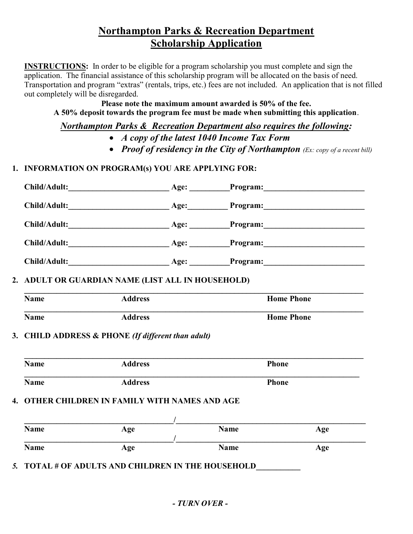# Northampton Parks & Recreation Department Scholarship Application

INSTRUCTIONS: In order to be eligible for a program scholarship you must complete and sign the application. The financial assistance of this scholarship program will be allocated on the basis of need. Transportation and program "extras" (rentals, trips, etc.) fees are not included. An application that is not filled out completely will be disregarded.

Please note the maximum amount awarded is 50% of the fee. A 50% deposit towards the program fee must be made when submitting this application.

Northampton Parks & Recreation Department also requires the following:

- A copy of the latest 1040 Income Tax Form
- Proof of residency in the City of Northampton  $(Ex: copy of a recent bill)$

## 1. INFORMATION ON PROGRAM(s) YOU ARE APPLYING FOR:

| Child/Adult: | Age: | Program: 2008 |
|--------------|------|---------------|
| Child/Adult: | Age: | Program:      |
| Child/Adult: | Age: | Program:      |
| Child/Adult: | Age: |               |
| Child/Adult: | Age: | Program:      |
|              |      |               |

## 2. ADULT OR GUARDIAN NAME (LIST ALL IN HOUSEHOLD)

| <b>Name</b> | <b>Address</b> | <b>Home Phone</b> |
|-------------|----------------|-------------------|
| <b>Name</b> | <b>Address</b> | <b>Home Phone</b> |

## 3. CHILD ADDRESS & PHONE (If different than adult)

| <b>Name</b> | <b>Address</b>                                 |             | <b>Phone</b> |  |
|-------------|------------------------------------------------|-------------|--------------|--|
| <b>Name</b> | <b>Address</b>                                 |             | <b>Phone</b> |  |
|             |                                                |             |              |  |
|             | 4. OTHER CHILDREN IN FAMILY WITH NAMES AND AGE |             |              |  |
|             |                                                |             |              |  |
| <b>Name</b> | Age                                            | <b>Name</b> | Age          |  |

5. TOTAL # OF ADULTS AND CHILDREN IN THE HOUSEHOLD\_\_\_\_\_\_\_\_\_\_\_\_\_\_\_\_\_\_\_\_\_\_\_\_\_\_\_\_\_\_